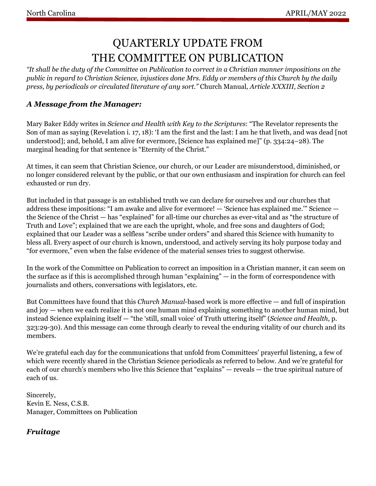# QUARTERLY UPDATE FROM THE COMMITTEE ON PUBLICATION

*"It shall be the duty of the Committee on Publication to correct in a Christian manner impositions on the public in regard to Christian Science, injustices done Mrs. Eddy or members of this Church by the daily press, by periodicals or circulated literature of any sort."* Church Manual*, Article XXXIII, Section 2*

### *A Message from the Manager:*

Mary Baker Eddy writes in *Science and Health with Key to the Scriptures*: "The Revelator represents the Son of man as saying (Revelation i. 17, 18): 'I am the first and the last: I am he that liveth, and was dead [not understood]; and, behold, I am alive for evermore, [Science has explained me]" (p. 334:24–28). The marginal heading for that sentence is "Eternity of the Christ."

At times, it can seem that Christian Science, our church, or our Leader are misunderstood, diminished, or no longer considered relevant by the public, or that our own enthusiasm and inspiration for church can feel exhausted or run dry.

But included in that passage is an established truth we can declare for ourselves and our churches that address these impositions: "I am awake and alive for evermore! — 'Science has explained me.'" Science the Science of the Christ — has "explained" for all-time our churches as ever-vital and as "the structure of Truth and Love"; explained that we are each the upright, whole, and free sons and daughters of God; explained that our Leader was a selfless "scribe under orders" and shared this Science with humanity to bless all. Every aspect of our church is known, understood, and actively serving its holy purpose today and "for evermore," even when the false evidence of the material senses tries to suggest otherwise.

In the work of the Committee on Publication to correct an imposition in a Christian manner, it can seem on the surface as if this is accomplished through human "explaining" — in the form of correspondence with journalists and others, conversations with legislators, etc.

But Committees have found that this *Church Manual*-based work is more effective — and full of inspiration and joy — when we each realize it is not one human mind explaining something to another human mind, but instead Science explaining itself — "the 'still, small voice' of Truth uttering itself" (*Science and Health*, p. 323:29-30). And this message can come through clearly to reveal the enduring vitality of our church and its members.

We're grateful each day for the communications that unfold from Committees' prayerful listening, a few of which were recently shared in the Christian Science periodicals as referred to below. And we're grateful for each of our church's members who live this Science that "explains" — reveals — the true spiritual nature of each of us.

Sincerely, Kevin E. Ness, C.S.B. Manager, Committees on Publication

# *Fruitage*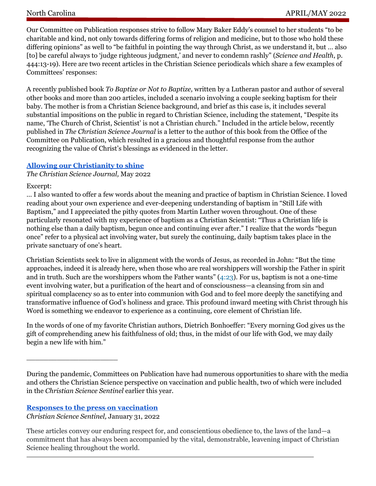Our Committee on Publication responses strive to follow Mary Baker Eddy's counsel to her students "to be charitable and kind, not only towards differing forms of religion and medicine, but to those who hold these differing opinions" as well to "be faithful in pointing the way through Christ, as we understand it, but … also [to] be careful always to 'judge righteous judgment,' and never to condemn rashly" (*Science and Health*, p. 444:13-19). Here are two recent articles in the Christian Science periodicals which share a few examples of Committees' responses:

A recently published book *To Baptize or Not to Baptize,* written by a Lutheran pastor and author of several other books and more than 200 articles, included a scenario involving a couple seeking baptism for their baby. The mother is from a Christian Science background, and brief as this case is, it includes several substantial impositions on the public in regard to Christian Science, including the statement, "Despite its name, 'The Church of Christ, Scientist' is not a Christian church." Included in the article below, recently published in *The Christian Science Journal* is a letter to the author of this book from the Office of the Committee on Publication, which resulted in a gracious and thoughtful response from the author recognizing the value of Christ's blessings as evidenced in the letter.

### **[Allowing our Christianity to shine](https://journal.christianscience.com/shared/view/5hh5lqivg4?s=copylink)**

*The Christian Science Journal,* May 2022

#### Excerpt:

… I also wanted to offer a few words about the meaning and practice of baptism in Christian Science. I loved reading about your own experience and ever-deepening understanding of baptism in "Still Life with Baptism," and I appreciated the pithy quotes from Martin Luther woven throughout. One of these particularly resonated with my experience of baptism as a Christian Scientist: "Thus a Christian life is nothing else than a daily baptism, begun once and continuing ever after." I realize that the words "begun once" refer to a physical act involving water, but surely the continuing, daily baptism takes place in the private sanctuary of one's heart.

Christian Scientists seek to live in alignment with the words of Jesus, as recorded in John: "But the time approaches, indeed it is already here, when those who are real worshippers will worship the Father in spirit and in truth. Such are the worshippers whom the Father wants" [\(4:23](https://login.concord.christianscience.com/concord3/search/?query=John+4:23)). For us, baptism is not a one-time event involving water, but a purification of the heart and of consciousness—a cleansing from sin and spiritual complacency so as to enter into communion with God and to feel more deeply the sanctifying and transformative influence of God's holiness and grace. This profound inward meeting with Christ through his Word is something we endeavor to experience as a continuing, core element of Christian life.

In the words of one of my favorite Christian authors, Dietrich Bonhoeffer: "Every morning God gives us the gift of comprehending anew his faithfulness of old; thus, in the midst of our life with God, we may daily begin a new life with him."

#### **[Responses to the press on vaccination](https://sentinel.christianscience.com/shared/view/2d9ft326gjg?s=copylink)**

\_\_\_\_\_\_\_\_\_\_\_\_\_\_\_\_\_\_\_\_\_

*Christian Science Sentinel,* January 31, 2022

These articles convey our enduring respect for, and conscientious obedience to, the laws of the land—a commitment that has always been accompanied by the vital, demonstrable, leavening impact of Christian Science healing throughout the world.

During the pandemic, Committees on Publication have had numerous opportunities to share with the media and others the Christian Science perspective on vaccination and public health, two of which were included in the *Christian Science Sentinel* earlier this year.